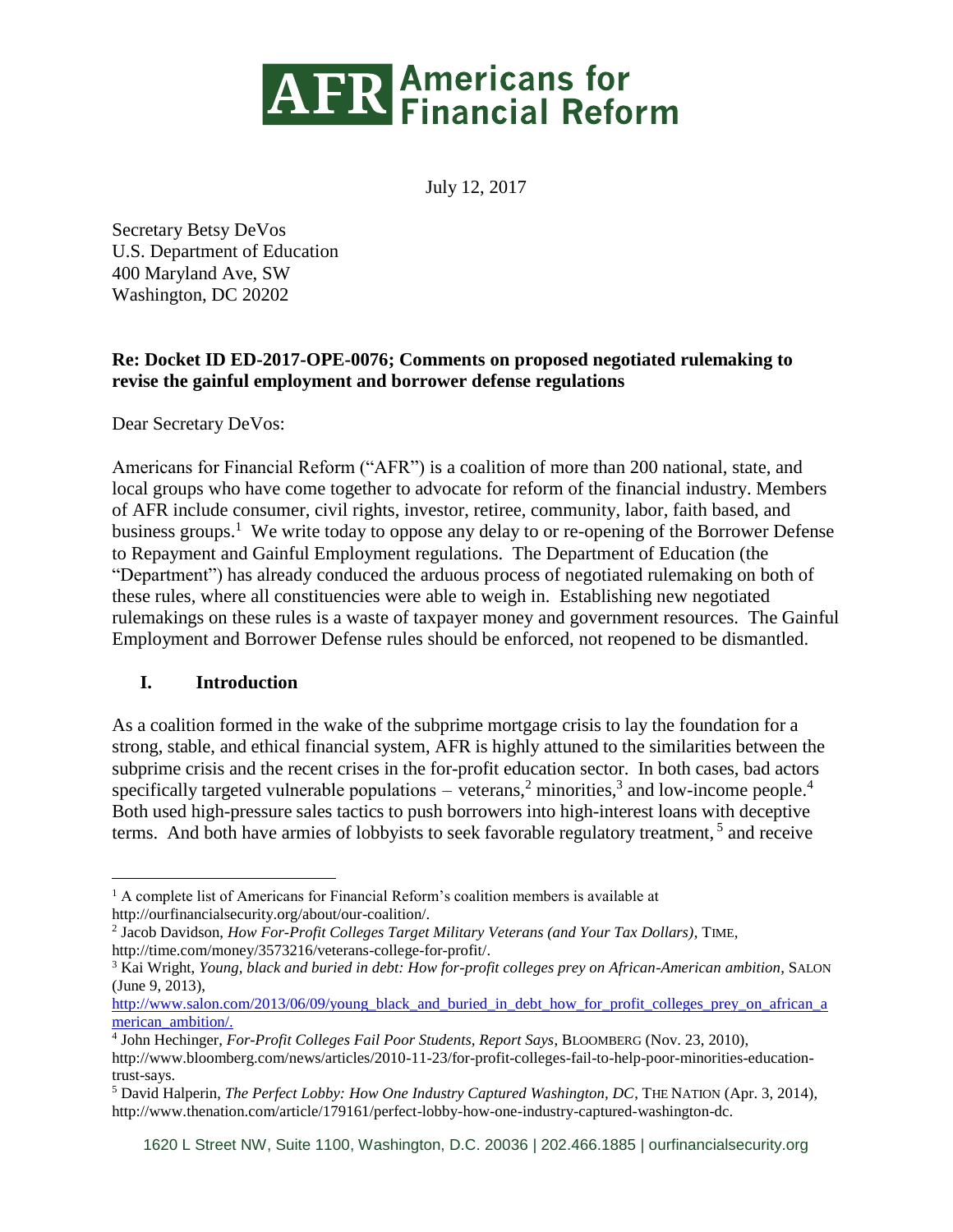

July 12, 2017

Secretary Betsy DeVos U.S. Department of Education 400 Maryland Ave, SW Washington, DC 20202

### **Re: Docket ID ED-2017-OPE-0076; Comments on proposed negotiated rulemaking to revise the gainful employment and borrower defense regulations**

Dear Secretary DeVos:

Americans for Financial Reform ("AFR") is a coalition of more than 200 national, state, and local groups who have come together to advocate for reform of the financial industry. Members of AFR include consumer, civil rights, investor, retiree, community, labor, faith based, and business groups.<sup>1</sup> We write today to oppose any delay to or re-opening of the Borrower Defense to Repayment and Gainful Employment regulations. The Department of Education (the "Department") has already conduced the arduous process of negotiated rulemaking on both of these rules, where all constituencies were able to weigh in. Establishing new negotiated rulemakings on these rules is a waste of taxpayer money and government resources. The Gainful Employment and Borrower Defense rules should be enforced, not reopened to be dismantled.

### **I. Introduction**

As a coalition formed in the wake of the subprime mortgage crisis to lay the foundation for a strong, stable, and ethical financial system, AFR is highly attuned to the similarities between the subprime crisis and the recent crises in the for-profit education sector. In both cases, bad actors specifically targeted vulnerable populations  $-$  veterans,<sup>2</sup> [minorities,](http://www.salon.com/2013/06/09/young_black_and_buried_in_debt_how_for_profit_colleges_prey_on_african_american_ambition/)<sup>3</sup> and [low-income people.](http://www.bloomberg.com/news/articles/2010-11-23/for-profit-colleges-fail-to-help-poor-minorities-education-trust-says)<sup>4</sup> Both used high-pressure sales tactics to push borrowers into high-interest loans with deceptive terms. And both have armies of lobbyists to seek favorable regulatory treatment, 5 and receive

 $\overline{a}$ <sup>1</sup> A complete list of Americans for Financial Reform's coalition members is available at http://ourfinancialsecurity.org/about/our-coalition/.

<sup>2</sup> Jacob Davidson, *How For-Profit Colleges Target Military Veterans (and Your Tax Dollars)*, TIME, http://time.com/money/3573216/veterans-college-for-profit/.

<sup>3</sup> Kai Wright, *Young, black and buried in debt: How for-profit colleges prey on African-American ambition*, SALON (June 9, 2013),

[http://www.salon.com/2013/06/09/young\\_black\\_and\\_buried\\_in\\_debt\\_how\\_for\\_profit\\_colleges\\_prey\\_on\\_african\\_a](http://www.salon.com/2013/06/09/young_black_and_buried_in_debt_how_for_profit_colleges_prey_on_african_american_ambition/) [merican\\_ambition/.](http://www.salon.com/2013/06/09/young_black_and_buried_in_debt_how_for_profit_colleges_prey_on_african_american_ambition/)

<sup>4</sup> John Hechinger, *For-Profit Colleges Fail Poor Students, Report Says*, BLOOMBERG (Nov. 23, 2010), http://www.bloomberg.com/news/articles/2010-11-23/for-profit-colleges-fail-to-help-poor-minorities-educationtrust-says.

<sup>5</sup> David Halperin, *The Perfect Lobby: How One Industry Captured Washington, DC*, THE NATION (Apr. 3, 2014), http://www.thenation.com/article/179161/perfect-lobby-how-one-industry-captured-washington-dc.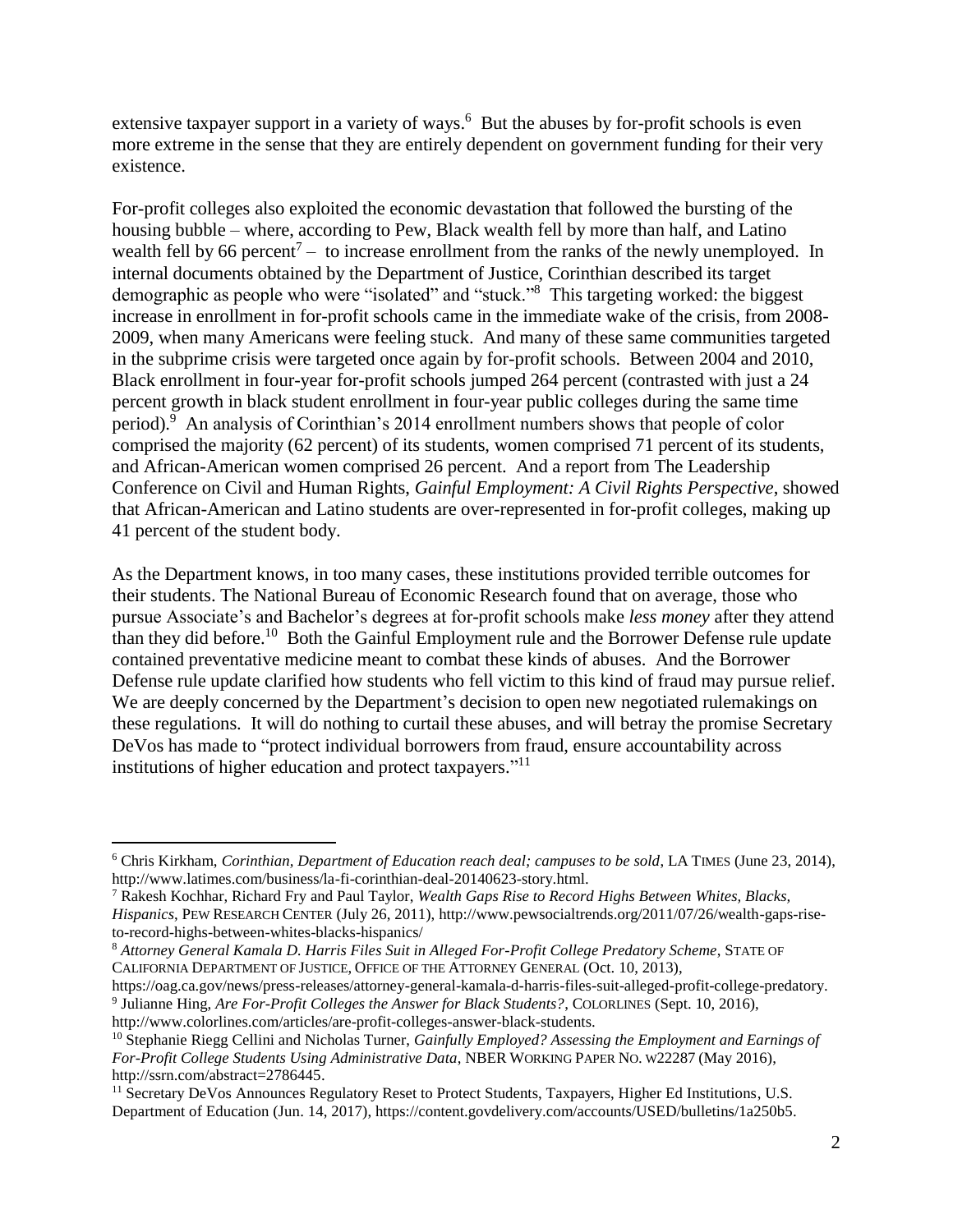extensive taxpayer support in a variety of ways.<sup>6</sup> But the abuses by for-profit schools is even more extreme in the sense that they are entirely dependent on government funding for their very existence.

For-profit colleges also exploited the economic devastation that followed the bursting of the housing bubble – where, according to Pew, Black wealth fell by more than half, and Latino wealth fell by 66 percent<sup>7</sup> – to increase enrollment from the ranks of the newly unemployed. In internal documents obtained by the Department of Justice, Corinthian described its target demographic as people who were "isolated" and "stuck."<sup>8</sup> This targeting worked: the biggest increase in enrollment in for-profit schools came in the immediate wake of the crisis, from 2008- 2009, when many Americans were feeling stuck. And many of these same communities targeted in the subprime crisis were targeted once again by for-profit schools. Between 2004 and 2010, Black enrollment in four-year for-profit schools jumped 264 percent (contrasted with just a 24 percent growth in black student enrollment in four-year public colleges during the same time period).<sup>9</sup> An analysis of Corinthian's 2014 enrollment numbers shows that people of color comprised the majority (62 percent) of its students, women comprised 71 percent of its students, and African-American women comprised 26 percent. And a report from The Leadership Conference on Civil and Human Rights, *Gainful Employment: A Civil Rights Perspective*, showed that African-American and Latino students are over-represented in for-profit colleges, making up 41 percent of the student body.

As the Department knows, in too many cases, these institutions provided terrible outcomes for their students. The National Bureau of Economic Research found that on average, those who pursue Associate's and Bachelor's degrees at for-profit schools make *less money* after they attend than they did before.<sup>10</sup> Both the Gainful Employment rule and the Borrower Defense rule update contained preventative medicine meant to combat these kinds of abuses. And the Borrower Defense rule update clarified how students who fell victim to this kind of fraud may pursue relief. We are deeply concerned by the Department's decision to open new negotiated rulemakings on these regulations. It will do nothing to curtail these abuses, and will betray the promise Secretary DeVos has made to "protect individual borrowers from fraud, ensure accountability across institutions of higher education and protect taxpayers."<sup>11</sup>

 $\overline{a}$ 

<sup>6</sup> Chris Kirkham, *Corinthian, Department of Education reach deal; campuses to be sold*, LA TIMES (June 23, 2014), http://www.latimes.com/business/la-fi-corinthian-deal-20140623-story.html.

<sup>7</sup> Rakesh Kochhar, Richard Fry and Paul Taylor, *Wealth Gaps Rise to Record Highs Between Whites, Blacks, Hispanics*, PEW RESEARCH CENTER (July 26, 2011), http://www.pewsocialtrends.org/2011/07/26/wealth-gaps-riseto-record-highs-between-whites-blacks-hispanics/

<sup>8</sup> *Attorney General Kamala D. Harris Files Suit in Alleged For-Profit College Predatory Scheme*, STATE OF CALIFORNIA DEPARTMENT OF JUSTICE, OFFICE OF THE ATTORNEY GENERAL (Oct. 10, 2013),

https://oag.ca.gov/news/press-releases/attorney-general-kamala-d-harris-files-suit-alleged-profit-college-predatory. 9 Julianne Hing, *Are For-Profit Colleges the Answer for Black Students?*, COLORLINES (Sept. 10, 2016), http://www.colorlines.com/articles/are-profit-colleges-answer-black-students.

<sup>10</sup> Stephanie Riegg Cellini and Nicholas Turner, *Gainfully Employed? Assessing the Employment and Earnings of For-Profit College Students Using Administrative Data*, NBER WORKING PAPER NO. W22287 (May 2016), http://ssrn.com/abstract=2786445.

<sup>&</sup>lt;sup>11</sup> Secretary DeVos Announces Regulatory Reset to Protect Students, Taxpayers, Higher Ed Institutions, U.S. Department of Education (Jun. 14, 2017), https://content.govdelivery.com/accounts/USED/bulletins/1a250b5.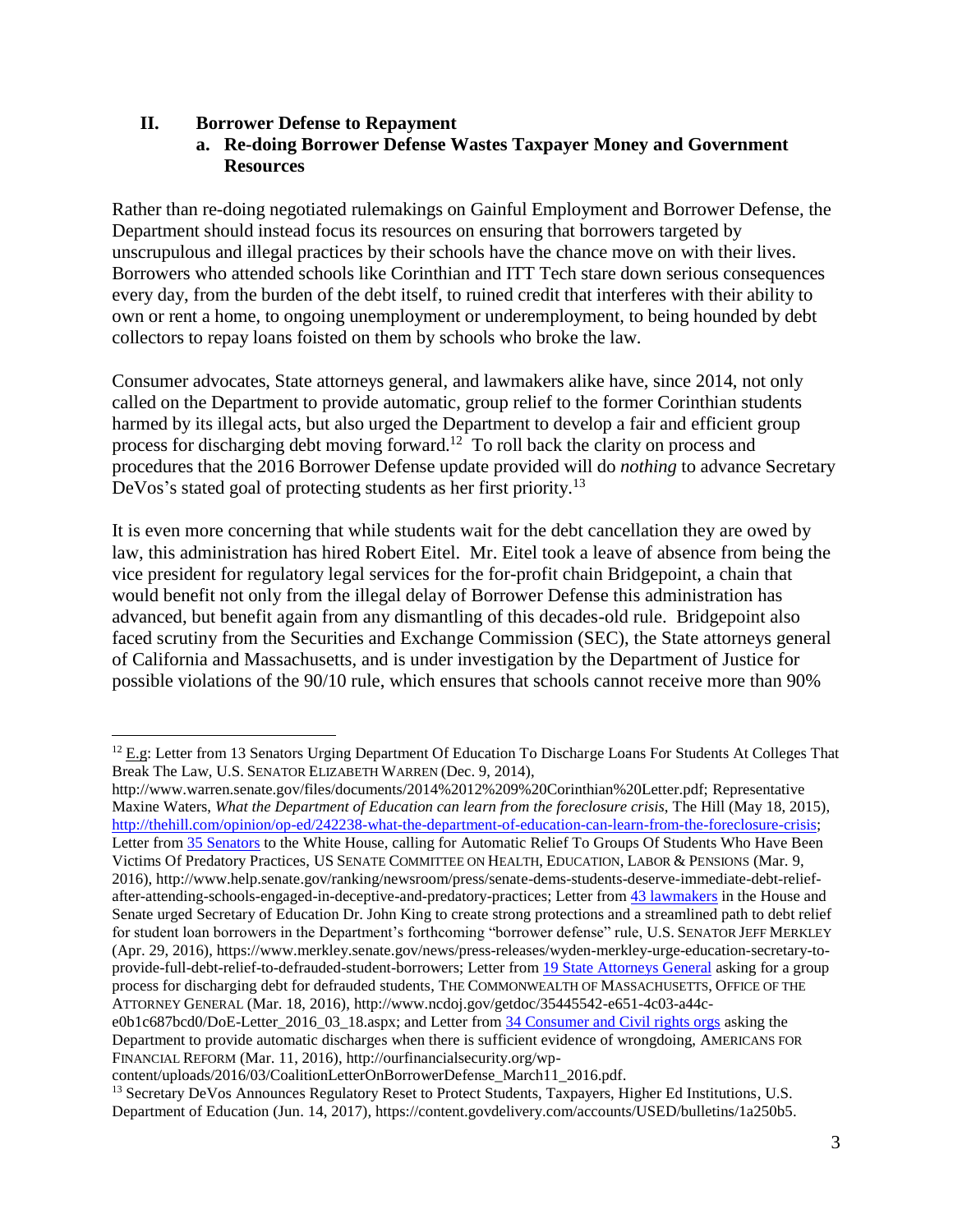### **II. Borrower Defense to Repayment**

### **a. Re-doing Borrower Defense Wastes Taxpayer Money and Government Resources**

Rather than re-doing negotiated rulemakings on Gainful Employment and Borrower Defense, the Department should instead focus its resources on ensuring that borrowers targeted by unscrupulous and illegal practices by their schools have the chance move on with their lives. Borrowers who attended schools like Corinthian and ITT Tech stare down serious consequences every day, from the burden of the debt itself, to ruined credit that interferes with their ability to own or rent a home, to ongoing unemployment or underemployment, to being hounded by debt collectors to repay loans foisted on them by schools who broke the law.

Consumer advocates, State attorneys general, and lawmakers alike have, since 2014, not only called on the Department to provide automatic, group relief to the former Corinthian students harmed by its illegal acts, but also urged the Department to develop a fair and efficient group process for discharging debt moving forward.<sup>12</sup> To roll back the clarity on process and procedures that the 2016 Borrower Defense update provided will do *nothing* to advance Secretary DeVos's stated goal of protecting students as her first priority.<sup>13</sup>

It is even more concerning that while students wait for the debt cancellation they are owed by law, this administration has hired Robert Eitel. Mr. Eitel took a leave of absence from being the vice president for regulatory legal services for the for-profit chain Bridgepoint, a chain that would benefit not only from the illegal delay of Borrower Defense this administration has advanced, but benefit again from any dismantling of this decades-old rule. Bridgepoint also faced scrutiny from the Securities and Exchange Commission (SEC), the State attorneys general of California and Massachusetts, and is under investigation by the Department of Justice for possible violations of the 90/10 rule, which ensures that schools cannot receive more than 90%

http://www.warren.senate.gov/files/documents/2014%2012%209%20Corinthian%20Letter.pdf; Representative Maxine Waters, *What the Department of Education can learn from the foreclosure crisis*, The Hill (May 18, 2015), [http://thehill.com/opinion/op-ed/242238-what-the-department-of-education-can-learn-from-the-foreclosure-crisis;](http://thehill.com/opinion/op-ed/242238-what-the-department-of-education-can-learn-from-the-foreclosure-crisis) Letter from [35 Senators](http://www.help.senate.gov/ranking/newsroom/press/senate-dems-students-deserve-immediate-debt-relief-after-attending-schools-engaged-in-deceptive-and-predatory-practices) to the White House, calling for Automatic Relief To Groups Of Students Who Have Been Victims Of Predatory Practices, US SENATE COMMITTEE ON HEALTH, EDUCATION, LABOR & PENSIONS (Mar. 9, 2016), http://www.help.senate.gov/ranking/newsroom/press/senate-dems-students-deserve-immediate-debt-relief-after-attending-schools-engaged-in-deceptive-and-predatory-practices; Letter from [43 lawmakers](https://www.merkley.senate.gov/news/press-releases/wyden-merkley-urge-education-secretary-to-provide-full-debt-relief-to-defrauded-student-borrowers) in the House and Senate urged Secretary of Education Dr. John King to create strong protections and a streamlined path to debt relief for student loan borrowers in the Department's forthcoming "borrower defense" rule, U.S. SENATOR JEFF MERKLEY (Apr. 29, 2016), https://www.merkley.senate.gov/news/press-releases/wyden-merkley-urge-education-secretary-toprovide-full-debt-relief-to-defrauded-student-borrowers; Letter from [19 State Attorneys General](http://www.ncdoj.gov/getdoc/35445542-e651-4c03-a44c-e0b1c687bcd0/DoE-Letter_2016_03_18.aspx) asking for a group process for discharging debt for defrauded students, THE COMMONWEALTH OF MASSACHUSETTS, OFFICE OF THE ATTORNEY GENERAL (Mar. 18, 2016), http://www.ncdoj.gov/getdoc/35445542-e651-4c03-a44c-

 $\overline{a}$ <sup>12</sup> E.g: Letter from 13 Senators Urging Department Of Education To Discharge Loans For Students At Colleges That Break The Law, U.S. SENATOR ELIZABETH WARREN (Dec. 9, 2014),

e0b1c687bcd0/DoE-Letter 2016 03 18.aspx; and Letter from [34 Consumer and Civil rights orgs](http://ourfinancialsecurity.org/wp-content/uploads/2016/03/CoalitionLetterOnBorrowerDefense_March11_2016.pdf) asking the Department to provide automatic discharges when there is sufficient evidence of wrongdoing, AMERICANS FOR FINANCIAL REFORM (Mar. 11, 2016), http://ourfinancialsecurity.org/wp-

content/uploads/2016/03/CoalitionLetterOnBorrowerDefense\_March11\_2016.pdf.

<sup>&</sup>lt;sup>13</sup> Secretary DeVos Announces Regulatory Reset to Protect Students, Taxpayers, Higher Ed Institutions, U.S. Department of Education (Jun. 14, 2017), https://content.govdelivery.com/accounts/USED/bulletins/1a250b5.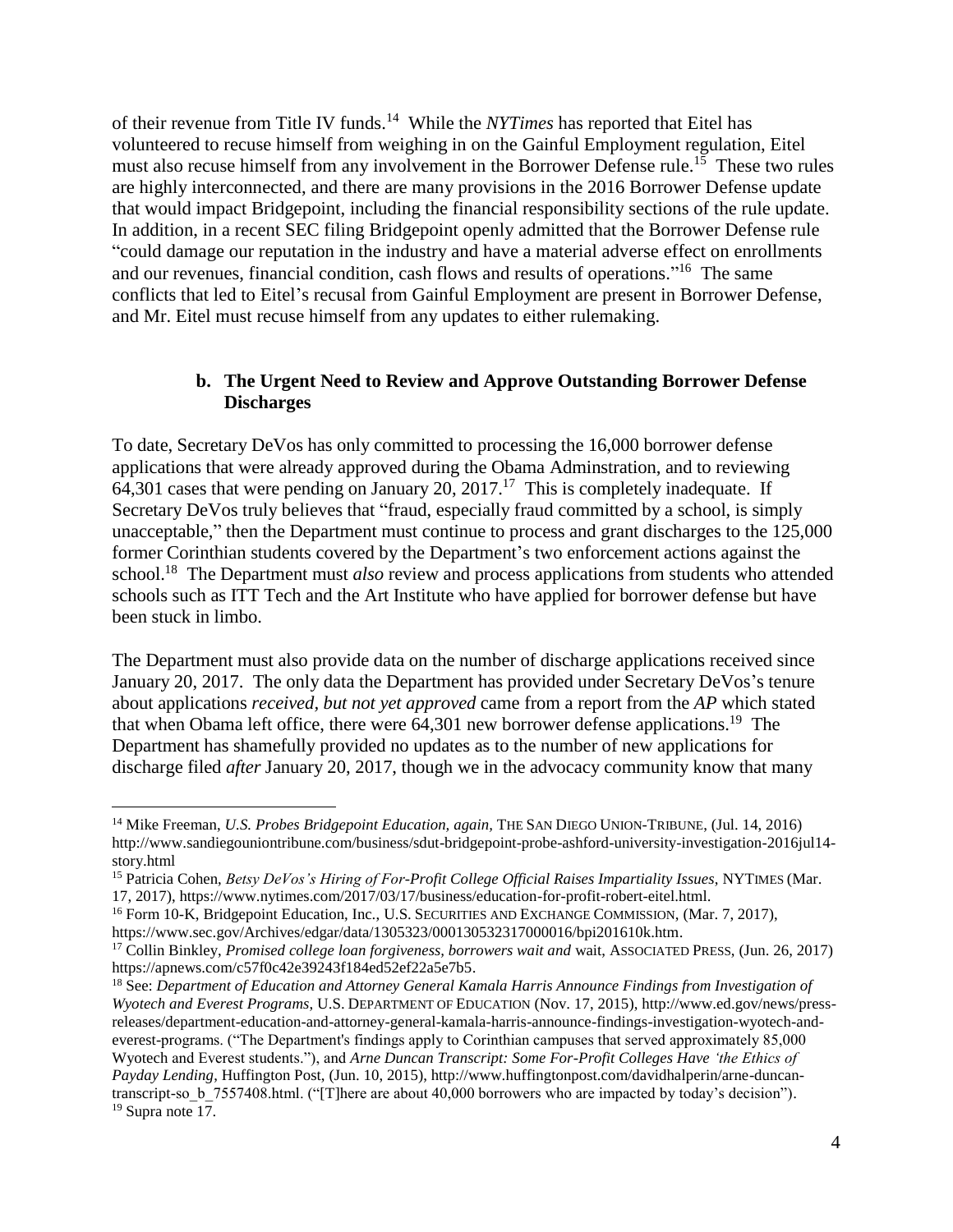of their revenue from Title IV funds.<sup>14</sup> While the *NYTimes* has reported that Eitel has volunteered to recuse himself from weighing in on the Gainful Employment regulation, Eitel must also recuse himself from any involvement in the Borrower Defense rule.<sup>15</sup> These two rules are highly interconnected, and there are many provisions in the 2016 Borrower Defense update that would impact Bridgepoint, including the financial responsibility sections of the rule update. In addition, in a recent SEC filing Bridgepoint openly admitted that the Borrower Defense rule "could damage our reputation in the industry and have a material adverse effect on enrollments and our revenues, financial condition, cash flows and results of operations."<sup>16</sup> The same conflicts that led to Eitel's recusal from Gainful Employment are present in Borrower Defense, and Mr. Eitel must recuse himself from any updates to either rulemaking.

#### **b. The Urgent Need to Review and Approve Outstanding Borrower Defense Discharges**

To date, Secretary DeVos has only committed to processing the 16,000 borrower defense applications that were already approved during the Obama Adminstration, and to reviewing  $64,301$  cases that were pending on January 20, 2017.<sup>17</sup> This is completely inadequate. If Secretary DeVos truly believes that "fraud, especially fraud committed by a school, is simply unacceptable," then the Department must continue to process and grant discharges to the 125,000 former Corinthian students covered by the Department's two enforcement actions against the school. <sup>18</sup> The Department must *also* review and process applications from students who attended schools such as ITT Tech and the Art Institute who have applied for borrower defense but have been stuck in limbo.

The Department must also provide data on the number of discharge applications received since January 20, 2017. The only data the Department has provided under Secretary DeVos's tenure about applications *received, but not yet approved* came from a report from the *AP* which stated that when Obama left office, there were 64,301 new borrower defense applications.<sup>19</sup> The Department has shamefully provided no updates as to the number of new applications for discharge filed *after* January 20, 2017, though we in the advocacy community know that many

 $\overline{a}$ 

<sup>14</sup> Mike Freeman, *U.S. Probes Bridgepoint Education, again,* THE SAN DIEGO UNION-TRIBUNE, (Jul. 14, 2016) http://www.sandiegouniontribune.com/business/sdut-bridgepoint-probe-ashford-university-investigation-2016jul14 story.html

<sup>15</sup> Patricia Cohen, *Betsy DeVos's Hiring of For-Profit College Official Raises Impartiality Issues*, NYTIMES (Mar. 17, 2017), https://www.nytimes.com/2017/03/17/business/education-for-profit-robert-eitel.html.

<sup>&</sup>lt;sup>16</sup> Form 10-K, Bridgepoint Education, Inc., U.S. SECURITIES AND EXCHANGE COMMISSION, (Mar. 7, 2017), https://www.sec.gov/Archives/edgar/data/1305323/000130532317000016/bpi201610k.htm.

<sup>17</sup> Collin Binkley, *Promised college loan forgiveness, borrowers wait and* wait, ASSOCIATED PRESS, (Jun. 26, 2017) https://apnews.com/c57f0c42e39243f184ed52ef22a5e7b5.

<sup>18</sup> See: *Department of Education and Attorney General Kamala Harris Announce Findings from Investigation of Wyotech and Everest Programs*, U.S. DEPARTMENT OF EDUCATION (Nov. 17, 2015), http://www.ed.gov/news/pressreleases/department-education-and-attorney-general-kamala-harris-announce-findings-investigation-wyotech-andeverest-programs. ("The Department's findings apply to Corinthian campuses that served approximately 85,000 Wyotech and Everest students."), and *Arne Duncan Transcript: Some For-Profit Colleges Have 'the Ethics of Payday Lending*, Huffington Post, (Jun. 10, 2015), http://www.huffingtonpost.com/davidhalperin/arne-duncantranscript-so\_b\_7557408.html. ("[T]here are about 40,000 borrowers who are impacted by today's decision").  $19$  Supra note 17.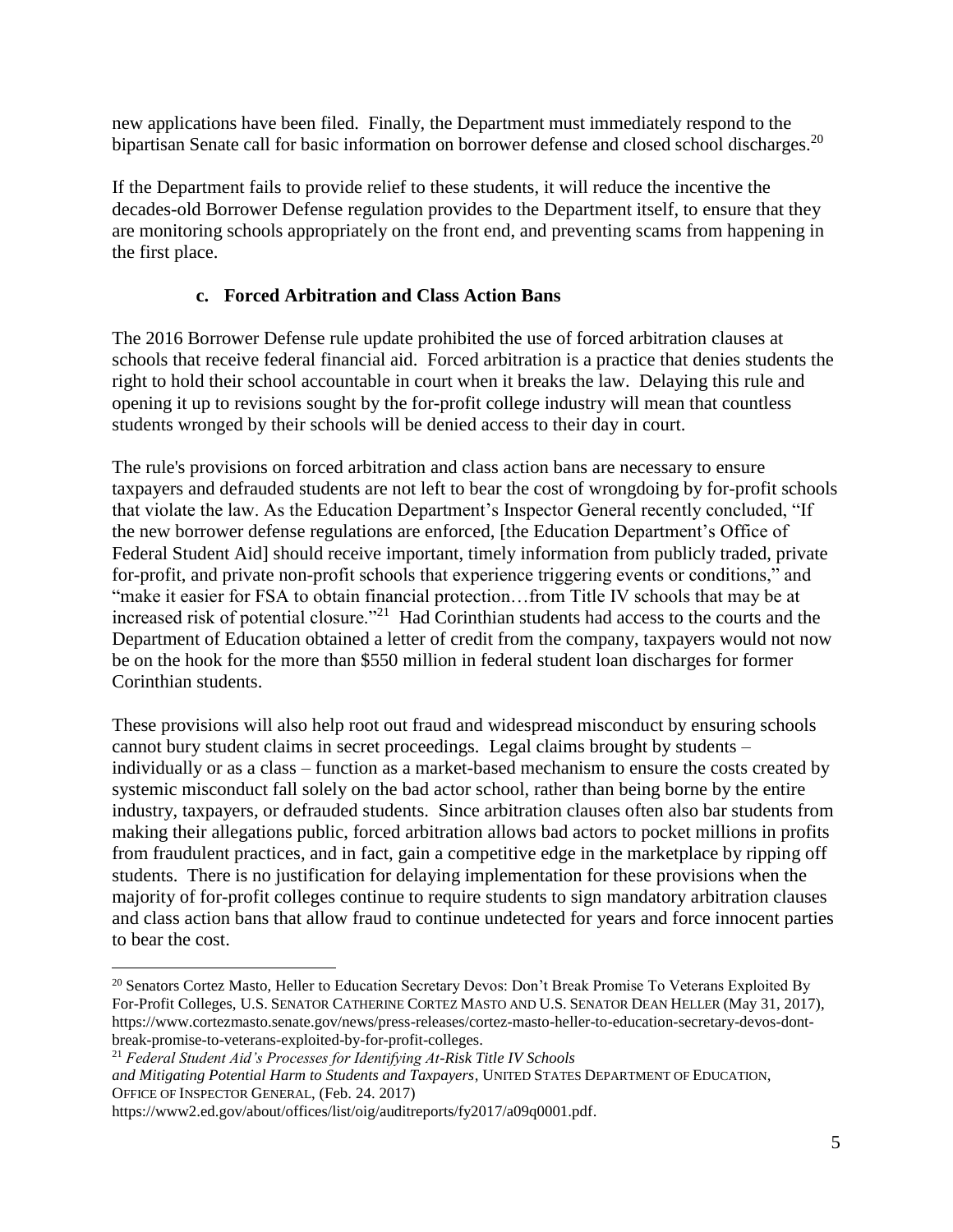new applications have been filed. Finally, the Department must immediately respond to the bipartisan Senate call for basic information on borrower defense and closed school discharges.<sup>20</sup>

If the Department fails to provide relief to these students, it will reduce the incentive the decades-old Borrower Defense regulation provides to the Department itself, to ensure that they are monitoring schools appropriately on the front end, and preventing scams from happening in the first place.

## **c. Forced Arbitration and Class Action Bans**

The 2016 Borrower Defense rule update prohibited the use of forced arbitration clauses at schools that receive federal financial aid. Forced arbitration is a practice that denies students the right to hold their school accountable in court when it breaks the law. Delaying this rule and opening it up to revisions sought by the for-profit college industry will mean that countless students wronged by their schools will be denied access to their day in court.

The rule's provisions on forced arbitration and class action bans are necessary to ensure taxpayers and defrauded students are not left to bear the cost of wrongdoing by for-profit schools that violate the law. As the Education Department's Inspector General recently concluded, "If the new borrower defense regulations are enforced, [the Education Department's Office of Federal Student Aid] should receive important, timely information from publicly traded, private for-profit, and private non-profit schools that experience triggering events or conditions," and "make it easier for FSA to obtain financial protection...from Title IV schools that may be at increased risk of potential closure."<sup>21</sup> Had Corinthian students had access to the courts and the Department of Education obtained a letter of credit from the company, taxpayers would not now be on the hook for the more than \$550 million in federal student loan discharges for former Corinthian students.

These provisions will also help root out fraud and widespread misconduct by ensuring schools cannot bury student claims in secret proceedings. Legal claims brought by students – individually or as a class – function as a market-based mechanism to ensure the costs created by systemic misconduct fall solely on the bad actor school, rather than being borne by the entire industry, taxpayers, or defrauded students. Since arbitration clauses often also bar students from making their allegations public, forced arbitration allows bad actors to pocket millions in profits from fraudulent practices, and in fact, gain a competitive edge in the marketplace by ripping off students. There is no justification for delaying implementation for these provisions when the majority of for-profit colleges continue to require students to sign mandatory arbitration clauses and class action bans that allow fraud to continue undetected for years and force innocent parties to bear the cost.

 $\overline{a}$ 

<sup>&</sup>lt;sup>20</sup> Senators Cortez Masto, Heller to Education Secretary Devos: Don't Break Promise To Veterans Exploited By For-Profit Colleges, U.S. SENATOR CATHERINE CORTEZ MASTO AND U.S. SENATOR DEAN HELLER (May 31, 2017), https://www.cortezmasto.senate.gov/news/press-releases/cortez-masto-heller-to-education-secretary-devos-dontbreak-promise-to-veterans-exploited-by-for-profit-colleges.

<sup>21</sup> *Federal Student Aid's Processes for Identifying At-Risk Title IV Schools*

*and Mitigating Potential Harm to Students and Taxpayers*, UNITED STATES DEPARTMENT OF EDUCATION, OFFICE OF INSPECTOR GENERAL, (Feb. 24. 2017)

https://www2.ed.gov/about/offices/list/oig/auditreports/fy2017/a09q0001.pdf.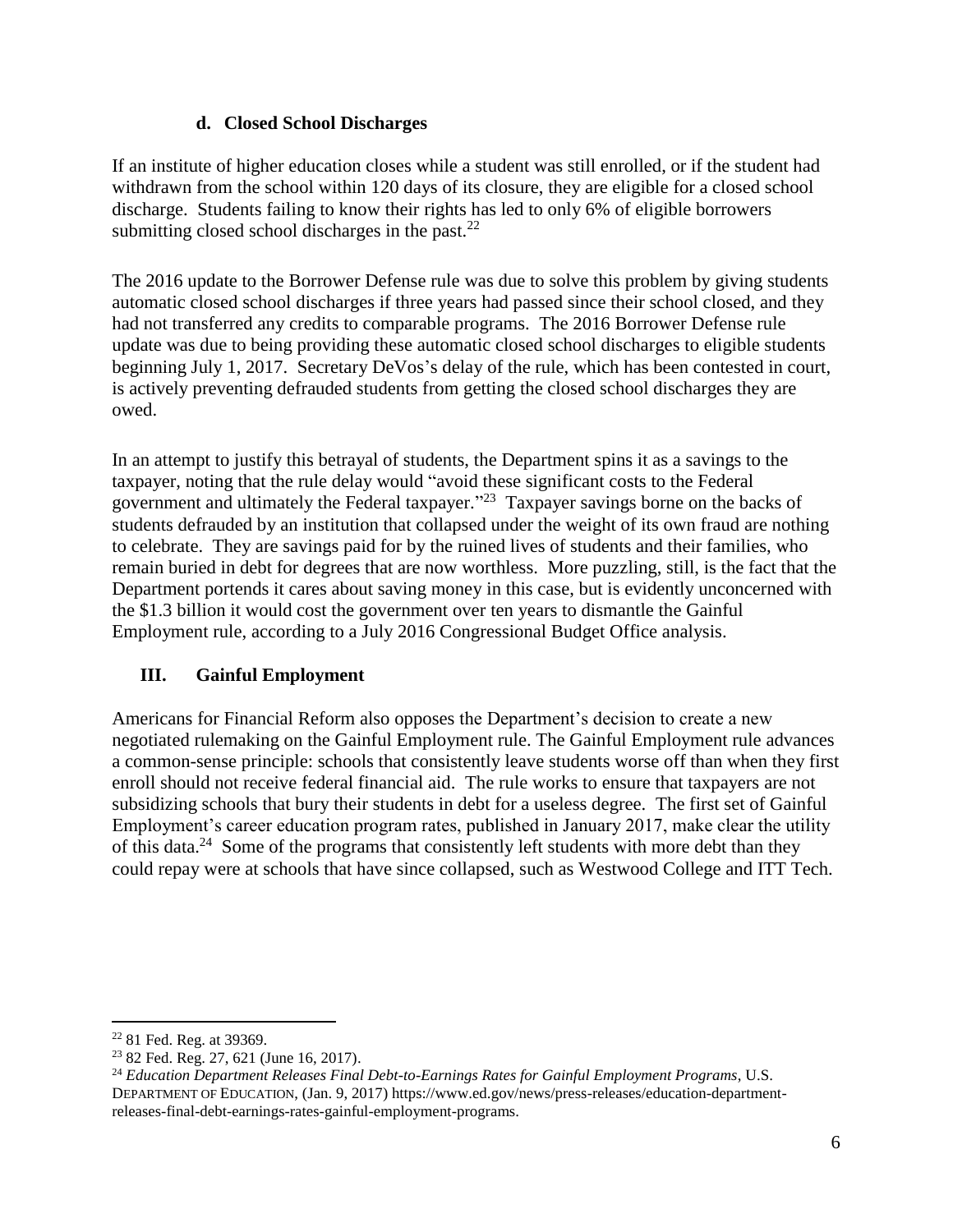## **d. Closed School Discharges**

If an institute of higher education closes while a student was still enrolled, or if the student had withdrawn from the school within 120 days of its closure, they are eligible for a closed school discharge. Students failing to know their rights has led to only 6% of eligible borrowers submitting closed school discharges in the past. $^{22}$ 

The 2016 update to the Borrower Defense rule was due to solve this problem by giving students automatic closed school discharges if three years had passed since their school closed, and they had not transferred any credits to comparable programs. The 2016 Borrower Defense rule update was due to being providing these automatic closed school discharges to eligible students beginning July 1, 2017. Secretary DeVos's delay of the rule, which has been contested in court, is actively preventing defrauded students from getting the closed school discharges they are owed.

In an attempt to justify this betrayal of students, the Department spins it as a savings to the taxpayer, noting that the rule delay would "avoid these significant costs to the Federal government and ultimately the Federal taxpayer."<sup>23</sup> Taxpayer savings borne on the backs of students defrauded by an institution that collapsed under the weight of its own fraud are nothing to celebrate. They are savings paid for by the ruined lives of students and their families, who remain buried in debt for degrees that are now worthless. More puzzling, still, is the fact that the Department portends it cares about saving money in this case, but is evidently unconcerned with the \$1.3 billion it would cost the government over ten years to dismantle the Gainful Employment rule, according to a July 2016 Congressional Budget Office analysis.

# **III. Gainful Employment**

Americans for Financial Reform also opposes the Department's decision to create a new negotiated rulemaking on the Gainful Employment rule. The Gainful Employment rule advances a common-sense principle: schools that consistently leave students worse off than when they first enroll should not receive federal financial aid. The rule works to ensure that taxpayers are not subsidizing schools that bury their students in debt for a useless degree. The first set of Gainful Employment's career education program rates, published in January 2017, make clear the utility of this data.<sup>24</sup> Some of the programs that consistently left students with more debt than they could repay were at schools that have since collapsed, such as Westwood College and ITT Tech.

 $\overline{a}$ <sup>22</sup> 81 Fed. Reg. at 39369.

<sup>23</sup> 82 Fed. Reg. 27, 621 (June 16, 2017).

<sup>24</sup> *Education Department Releases Final Debt-to-Earnings Rates for Gainful Employment Programs*, U.S. DEPARTMENT OF EDUCATION, (Jan. 9, 2017) https://www.ed.gov/news/press-releases/education-departmentreleases-final-debt-earnings-rates-gainful-employment-programs.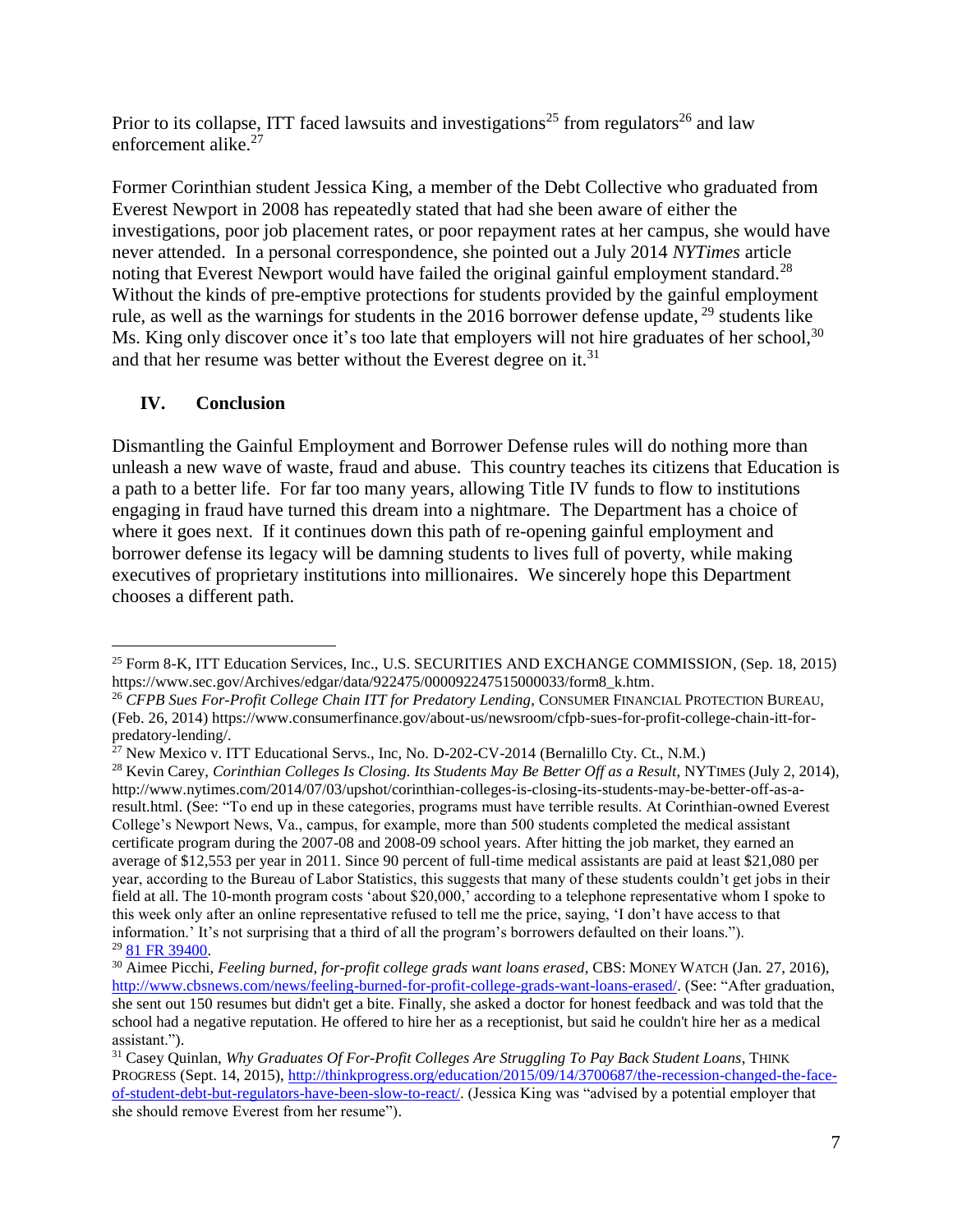Prior to its collapse, ITT faced lawsuits and investigations<sup>25</sup> from regulators<sup>26</sup> and law enforcement alike.<sup>27</sup>

Former Corinthian student Jessica King, a member of the Debt Collective who graduated from Everest Newport in 2008 has repeatedly stated that had she been aware of either the investigations, poor job placement rates, or poor repayment rates at her campus, she would have never attended. In a personal correspondence, she pointed out a July 2014 *NYTimes* article noting that Everest Newport would have failed the original gainful employment standard.<sup>28</sup> Without the kinds of pre-emptive protections for students provided by the gainful employment rule, as well as the warnings for students in the  $2016$  borrower defense update,  $29$  students like Ms. King only discover once it's too late that employers will not hire graduates of her school,<sup>30</sup> and that her resume was better without the Everest degree on it.<sup>31</sup>

# **IV. Conclusion**

Dismantling the Gainful Employment and Borrower Defense rules will do nothing more than unleash a new wave of waste, fraud and abuse. This country teaches its citizens that Education is a path to a better life. For far too many years, allowing Title IV funds to flow to institutions engaging in fraud have turned this dream into a nightmare. The Department has a choice of where it goes next. If it continues down this path of re-opening gainful employment and borrower defense its legacy will be damning students to lives full of poverty, while making executives of proprietary institutions into millionaires. We sincerely hope this Department chooses a different path.

 $\overline{a}$ <sup>25</sup> Form 8-K, ITT Education Services, Inc., U.S. SECURITIES AND EXCHANGE COMMISSION, (Sep. 18, 2015) https://www.sec.gov/Archives/edgar/data/922475/000092247515000033/form8\_k.htm.

<sup>26</sup> *CFPB Sues For-Profit College Chain ITT for Predatory Lending*, CONSUMER FINANCIAL PROTECTION BUREAU, (Feb. 26, 2014) https://www.consumerfinance.gov/about-us/newsroom/cfpb-sues-for-profit-college-chain-itt-forpredatory-lending/.

 $^{27}$  New Mexico v. ITT Educational Servs., Inc, No. D-202-CV-2014 (Bernalillo Cty. Ct., N.M.)

<sup>&</sup>lt;sup>28</sup> Kevin Carey, *Corinthian Colleges Is Closing. Its Students May Be Better Off as a Result*, NYTIMES (July 2, 2014), http://www.nytimes.com/2014/07/03/upshot/corinthian-colleges-is-closing-its-students-may-be-better-off-as-aresult.html. (See: "To end up in these categories, programs must have terrible results. At Corinthian-owned Everest College's Newport News, Va., campus, for example, more than 500 students completed the medical assistant certificate program during the 2007-08 and 2008-09 school years. After hitting the job market, they earned an average of \$12,553 per year in 2011. Since 90 percent of full-time medical assistants are paid at least \$21,080 per year, according to the Bureau of Labor Statistics, this suggests that many of these students couldn't get jobs in their field at all. The 10-month program costs 'about \$20,000,' according to a telephone representative whom I spoke to this week only after an online representative refused to tell me the price, saying, 'I don't have access to that information.' It's not surprising that a third of all the program's borrowers defaulted on their loans."). <sup>29</sup> [81 FR 39400.](https://www.federalregister.gov/articles/2016/06/16/2016-14052/student-assistance-general-provisions-federal-perkins-loan-program-federal-family-education-loan#p-795)

<sup>&</sup>lt;sup>30</sup> Aimee Picchi, *Feeling burned, for-profit college grads want loans erased*, CBS: MONEY WATCH (Jan. 27, 2016), [http://www.cbsnews.com/news/feeling-burned-for-profit-college-grads-want-loans-erased/.](http://www.cbsnews.com/news/feeling-burned-for-profit-college-grads-want-loans-erased/) (See: "After graduation, she sent out 150 resumes but didn't get a bite. Finally, she asked a doctor for honest feedback and was told that the school had a negative reputation. He offered to hire her as a receptionist, but said he couldn't hire her as a medical assistant.").

<sup>31</sup> Casey Quinlan, *Why Graduates Of For-Profit Colleges Are Struggling To Pay Back Student Loans*, THINK PROGRESS (Sept. 14, 2015), [http://thinkprogress.org/education/2015/09/14/3700687/the-recession-changed-the-face](http://thinkprogress.org/education/2015/09/14/3700687/the-recession-changed-the-face-of-student-debt-but-regulators-have-been-slow-to-react/)[of-student-debt-but-regulators-have-been-slow-to-react/.](http://thinkprogress.org/education/2015/09/14/3700687/the-recession-changed-the-face-of-student-debt-but-regulators-have-been-slow-to-react/) (Jessica King was "advised by a potential employer that she should remove Everest from her resume").